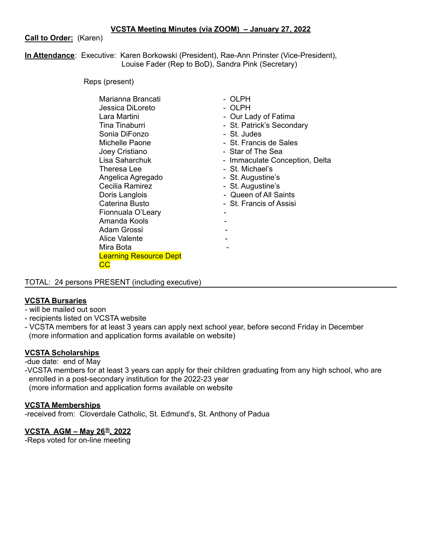**Call to Order:** (Karen)

**In Attendance**: Executive: Karen Borkowski (President), Rae-Ann Prinster (Vice-President), Louise Fader (Rep to BoD), Sandra Pink (Secretary)

Reps (present)

| Lara Martini<br>Tina Tinaburri<br>Sonia DiFonzo<br>Michelle Paone<br>Joey Cristiano<br>Lisa Saharchuk<br>Theresa Lee<br>Angelica Agregado<br>Cecilia Ramirez<br>Doris Langlois<br>Caterina Busto<br>Fionnuala O'Leary<br>Amanda Kools<br>Adam Grossi<br>Alice Valente<br>Mira Bota | - St. Judes<br>- St. Francis de Sales<br>- Star of The Sea<br>- Immaculate Conception, Delta<br>- St. Michael's<br>- St. Augustine's<br>- St. Augustine's<br>- Queen of All Saints<br>- St. Francis of Assisi |
|------------------------------------------------------------------------------------------------------------------------------------------------------------------------------------------------------------------------------------------------------------------------------------|---------------------------------------------------------------------------------------------------------------------------------------------------------------------------------------------------------------|
| <b>Learning Resource Dept</b>                                                                                                                                                                                                                                                      |                                                                                                                                                                                                               |
| cc                                                                                                                                                                                                                                                                                 |                                                                                                                                                                                                               |

TOTAL: 24 persons PRESENT (including executive)

# **VCSTA Bursaries**

- will be mailed out soon
- recipients listed on VCSTA website
- VCSTA members for at least 3 years can apply next school year, before second Friday in December (more information and application forms available on website)

# **VCSTA Scholarships**

-due date: end of May

-VCSTA members for at least 3 years can apply for their children graduating from any high school, who are enrolled in a post-secondary institution for the 2022-23 year (more information and application forms available on website

## **VCSTA Memberships**

-received from: Cloverdale Catholic, St. Edmund's, St. Anthony of Padua

## **VCSTA AGM – May 26 th , 2022**

-Reps voted for on-line meeting